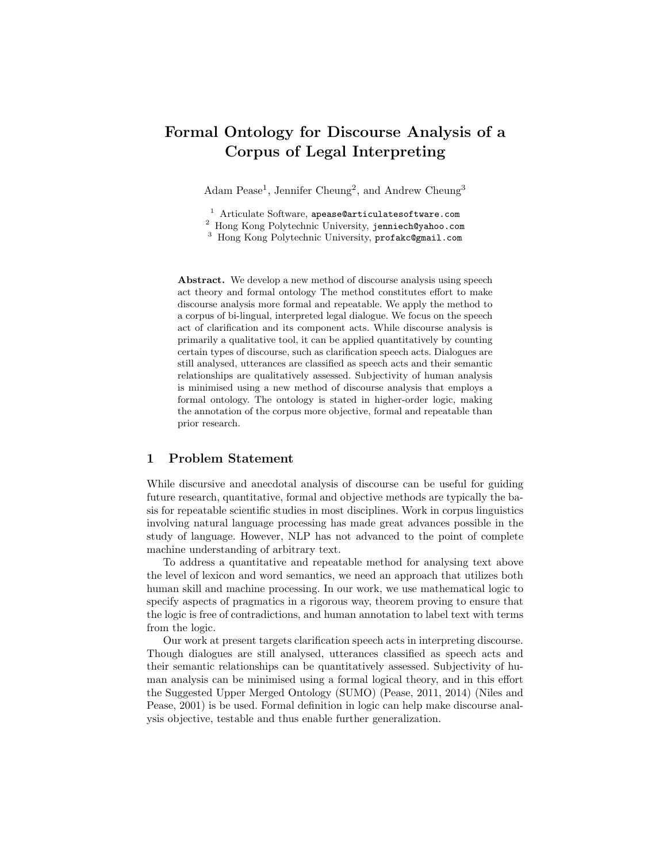# Formal Ontology for Discourse Analysis of a Corpus of Legal Interpreting

Adam Pease<sup>1</sup>, Jennifer Cheung<sup>2</sup>, and Andrew Cheung<sup>3</sup>

<sup>1</sup> Articulate Software, apease@articulatesoftware.com

<sup>2</sup> Hong Kong Polytechnic University, jenniech@yahoo.com

<sup>3</sup> Hong Kong Polytechnic University, profakc@gmail.com

Abstract. We develop a new method of discourse analysis using speech act theory and formal ontology The method constitutes effort to make discourse analysis more formal and repeatable. We apply the method to a corpus of bi-lingual, interpreted legal dialogue. We focus on the speech act of clarification and its component acts. While discourse analysis is primarily a qualitative tool, it can be applied quantitatively by counting certain types of discourse, such as clarification speech acts. Dialogues are still analysed, utterances are classified as speech acts and their semantic relationships are qualitatively assessed. Subjectivity of human analysis is minimised using a new method of discourse analysis that employs a formal ontology. The ontology is stated in higher-order logic, making the annotation of the corpus more objective, formal and repeatable than prior research.

#### 1 Problem Statement

While discursive and anecdotal analysis of discourse can be useful for guiding future research, quantitative, formal and objective methods are typically the basis for repeatable scientific studies in most disciplines. Work in corpus linguistics involving natural language processing has made great advances possible in the study of language. However, NLP has not advanced to the point of complete machine understanding of arbitrary text.

To address a quantitative and repeatable method for analysing text above the level of lexicon and word semantics, we need an approach that utilizes both human skill and machine processing. In our work, we use mathematical logic to specify aspects of pragmatics in a rigorous way, theorem proving to ensure that the logic is free of contradictions, and human annotation to label text with terms from the logic.

Our work at present targets clarification speech acts in interpreting discourse. Though dialogues are still analysed, utterances classified as speech acts and their semantic relationships can be quantitatively assessed. Subjectivity of human analysis can be minimised using a formal logical theory, and in this effort the Suggested Upper Merged Ontology (SUMO) (Pease, 2011, 2014) (Niles and Pease, 2001) is be used. Formal definition in logic can help make discourse analysis objective, testable and thus enable further generalization.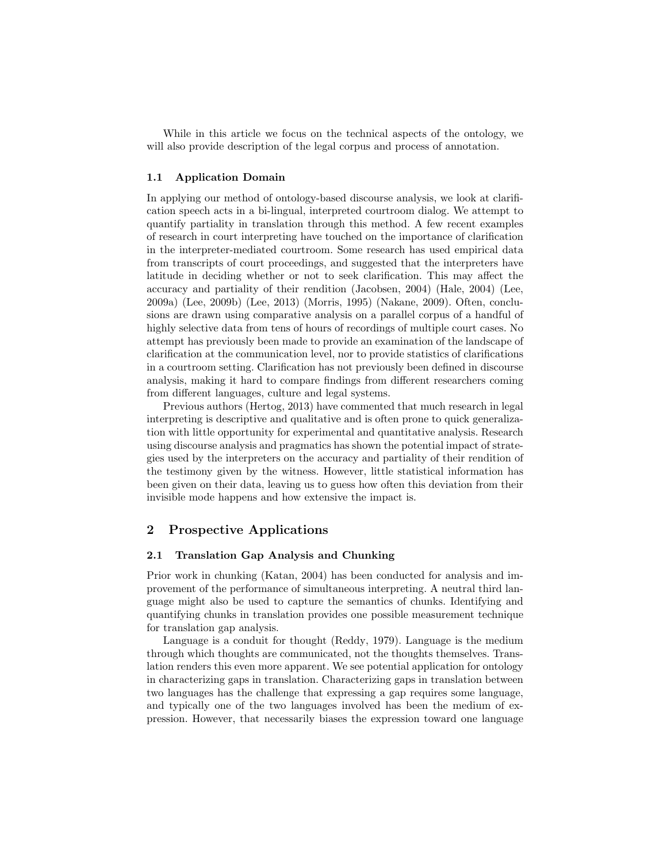While in this article we focus on the technical aspects of the ontology, we will also provide description of the legal corpus and process of annotation.

#### 1.1 Application Domain

In applying our method of ontology-based discourse analysis, we look at clarification speech acts in a bi-lingual, interpreted courtroom dialog. We attempt to quantify partiality in translation through this method. A few recent examples of research in court interpreting have touched on the importance of clarification in the interpreter-mediated courtroom. Some research has used empirical data from transcripts of court proceedings, and suggested that the interpreters have latitude in deciding whether or not to seek clarification. This may affect the accuracy and partiality of their rendition (Jacobsen, 2004) (Hale, 2004) (Lee, 2009a) (Lee, 2009b) (Lee, 2013) (Morris, 1995) (Nakane, 2009). Often, conclusions are drawn using comparative analysis on a parallel corpus of a handful of highly selective data from tens of hours of recordings of multiple court cases. No attempt has previously been made to provide an examination of the landscape of clarification at the communication level, nor to provide statistics of clarifications in a courtroom setting. Clarification has not previously been defined in discourse analysis, making it hard to compare findings from different researchers coming from different languages, culture and legal systems.

Previous authors (Hertog, 2013) have commented that much research in legal interpreting is descriptive and qualitative and is often prone to quick generalization with little opportunity for experimental and quantitative analysis. Research using discourse analysis and pragmatics has shown the potential impact of strategies used by the interpreters on the accuracy and partiality of their rendition of the testimony given by the witness. However, little statistical information has been given on their data, leaving us to guess how often this deviation from their invisible mode happens and how extensive the impact is.

### 2 Prospective Applications

#### 2.1 Translation Gap Analysis and Chunking

Prior work in chunking (Katan, 2004) has been conducted for analysis and improvement of the performance of simultaneous interpreting. A neutral third language might also be used to capture the semantics of chunks. Identifying and quantifying chunks in translation provides one possible measurement technique for translation gap analysis.

Language is a conduit for thought (Reddy, 1979). Language is the medium through which thoughts are communicated, not the thoughts themselves. Translation renders this even more apparent. We see potential application for ontology in characterizing gaps in translation. Characterizing gaps in translation between two languages has the challenge that expressing a gap requires some language, and typically one of the two languages involved has been the medium of expression. However, that necessarily biases the expression toward one language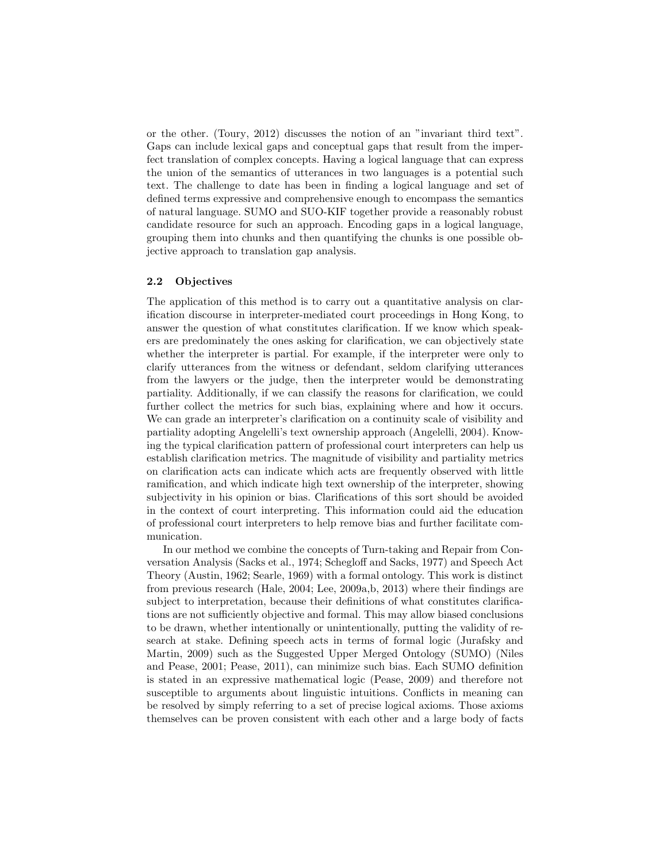or the other. (Toury, 2012) discusses the notion of an "invariant third text". Gaps can include lexical gaps and conceptual gaps that result from the imperfect translation of complex concepts. Having a logical language that can express the union of the semantics of utterances in two languages is a potential such text. The challenge to date has been in finding a logical language and set of defined terms expressive and comprehensive enough to encompass the semantics of natural language. SUMO and SUO-KIF together provide a reasonably robust candidate resource for such an approach. Encoding gaps in a logical language, grouping them into chunks and then quantifying the chunks is one possible objective approach to translation gap analysis.

#### 2.2 Objectives

The application of this method is to carry out a quantitative analysis on clarification discourse in interpreter-mediated court proceedings in Hong Kong, to answer the question of what constitutes clarification. If we know which speakers are predominately the ones asking for clarification, we can objectively state whether the interpreter is partial. For example, if the interpreter were only to clarify utterances from the witness or defendant, seldom clarifying utterances from the lawyers or the judge, then the interpreter would be demonstrating partiality. Additionally, if we can classify the reasons for clarification, we could further collect the metrics for such bias, explaining where and how it occurs. We can grade an interpreter's clarification on a continuity scale of visibility and partiality adopting Angelelli's text ownership approach (Angelelli, 2004). Knowing the typical clarification pattern of professional court interpreters can help us establish clarification metrics. The magnitude of visibility and partiality metrics on clarification acts can indicate which acts are frequently observed with little ramification, and which indicate high text ownership of the interpreter, showing subjectivity in his opinion or bias. Clarifications of this sort should be avoided in the context of court interpreting. This information could aid the education of professional court interpreters to help remove bias and further facilitate communication.

In our method we combine the concepts of Turn-taking and Repair from Conversation Analysis (Sacks et al., 1974; Schegloff and Sacks, 1977) and Speech Act Theory (Austin, 1962; Searle, 1969) with a formal ontology. This work is distinct from previous research (Hale, 2004; Lee, 2009a,b, 2013) where their findings are subject to interpretation, because their definitions of what constitutes clarifications are not sufficiently objective and formal. This may allow biased conclusions to be drawn, whether intentionally or unintentionally, putting the validity of research at stake. Defining speech acts in terms of formal logic (Jurafsky and Martin, 2009) such as the Suggested Upper Merged Ontology (SUMO) (Niles and Pease, 2001; Pease, 2011), can minimize such bias. Each SUMO definition is stated in an expressive mathematical logic (Pease, 2009) and therefore not susceptible to arguments about linguistic intuitions. Conflicts in meaning can be resolved by simply referring to a set of precise logical axioms. Those axioms themselves can be proven consistent with each other and a large body of facts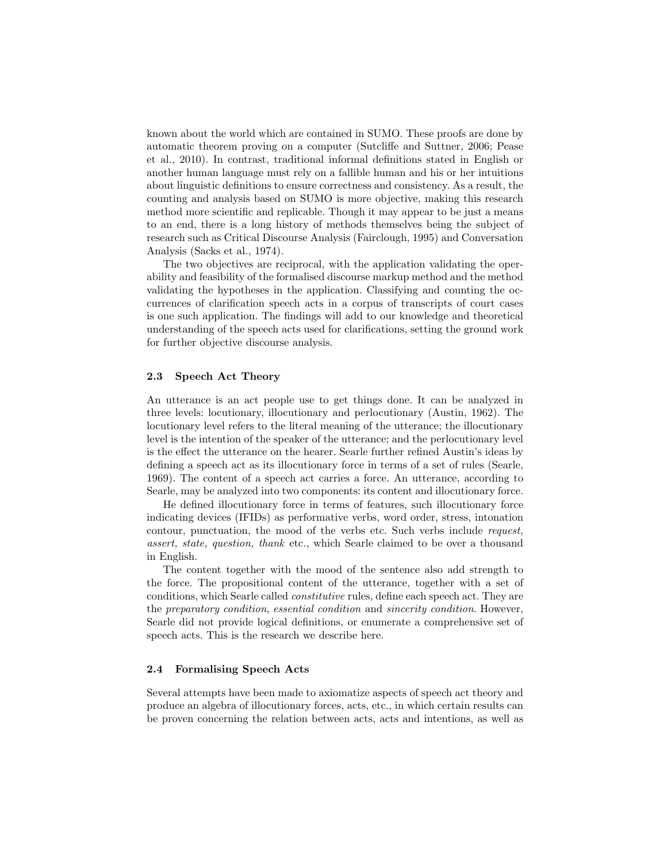known about the world which are contained in SUMO. These proofs are done by automatic theorem proving on a computer (Sutcliffe and Suttner, 2006; Pease et al., 2010). In contrast, traditional informal definitions stated in English or another human language must rely on a fallible human and his or her intuitions about linguistic definitions to ensure correctness and consistency. As a result, the counting and analysis based on SUMO is more objective, making this research method more scientific and replicable. Though it may appear to be just a means to an end, there is a long history of methods themselves being the subject of research such as Critical Discourse Analysis (Fairclough, 1995) and Conversation Analysis (Sacks et al., 1974).

The two objectives are reciprocal, with the application validating the operability and feasibility of the formalised discourse markup method and the method validating the hypotheses in the application. Classifying and counting the occurrences of clarification speech acts in a corpus of transcripts of court cases is one such application. The findings will add to our knowledge and theoretical understanding of the speech acts used for clarifications, setting the ground work for further objective discourse analysis.

#### 2.3 Speech Act Theory

An utterance is an act people use to get things done. It can be analyzed in three levels: locutionary, illocutionary and perlocutionary (Austin, 1962). The locutionary level refers to the literal meaning of the utterance; the illocutionary level is the intention of the speaker of the utterance; and the perlocutionary level is the effect the utterance on the hearer. Searle further refined Austin's ideas by defining a speech act as its illocutionary force in terms of a set of rules (Searle, 1969). The content of a speech act carries a force. An utterance, according to Searle, may be analyzed into two components: its content and illocutionary force.

He defined illocutionary force in terms of features, such illocutionary force indicating devices (IFIDs) as performative verbs, word order, stress, intonation contour, punctuation, the mood of the verbs etc. Such verbs include request, assert, state, question, thank etc., which Searle claimed to be over a thousand in English.

The content together with the mood of the sentence also add strength to the force. The propositional content of the utterance, together with a set of conditions, which Searle called constitutive rules, define each speech act. They are the preparatory condition, essential condition and sincerity condition. However, Searle did not provide logical definitions, or enumerate a comprehensive set of speech acts. This is the research we describe here.

#### 2.4 Formalising Speech Acts

Several attempts have been made to axiomatize aspects of speech act theory and produce an algebra of illocutionary forces, acts, etc., in which certain results can be proven concerning the relation between acts, acts and intentions, as well as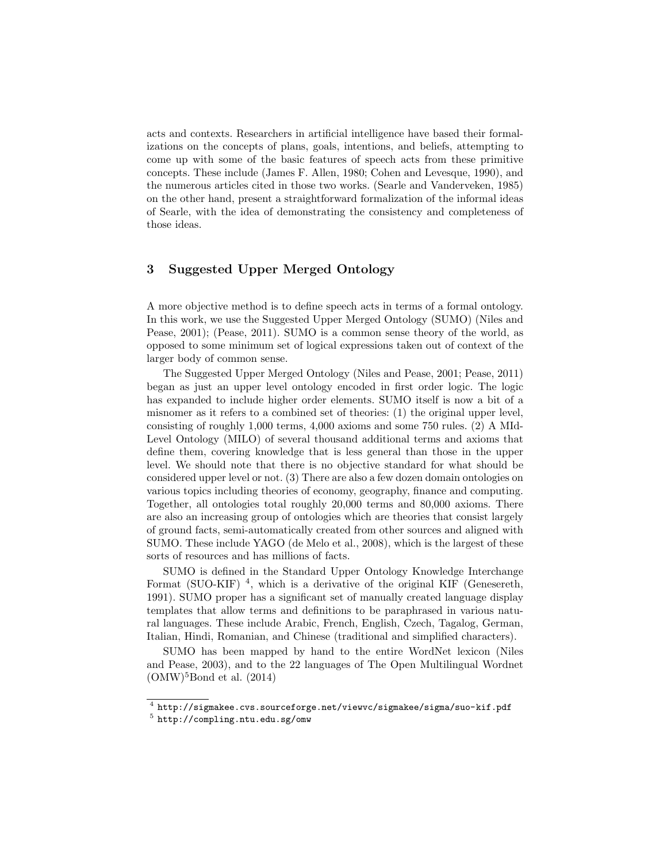acts and contexts. Researchers in artificial intelligence have based their formalizations on the concepts of plans, goals, intentions, and beliefs, attempting to come up with some of the basic features of speech acts from these primitive concepts. These include (James F. Allen, 1980; Cohen and Levesque, 1990), and the numerous articles cited in those two works. (Searle and Vanderveken, 1985) on the other hand, present a straightforward formalization of the informal ideas of Searle, with the idea of demonstrating the consistency and completeness of those ideas.

### 3 Suggested Upper Merged Ontology

A more objective method is to define speech acts in terms of a formal ontology. In this work, we use the Suggested Upper Merged Ontology (SUMO) (Niles and Pease, 2001); (Pease, 2011). SUMO is a common sense theory of the world, as opposed to some minimum set of logical expressions taken out of context of the larger body of common sense.

The Suggested Upper Merged Ontology (Niles and Pease, 2001; Pease, 2011) began as just an upper level ontology encoded in first order logic. The logic has expanded to include higher order elements. SUMO itself is now a bit of a misnomer as it refers to a combined set of theories: (1) the original upper level, consisting of roughly 1,000 terms, 4,000 axioms and some 750 rules. (2) A MId-Level Ontology (MILO) of several thousand additional terms and axioms that define them, covering knowledge that is less general than those in the upper level. We should note that there is no objective standard for what should be considered upper level or not. (3) There are also a few dozen domain ontologies on various topics including theories of economy, geography, finance and computing. Together, all ontologies total roughly 20,000 terms and 80,000 axioms. There are also an increasing group of ontologies which are theories that consist largely of ground facts, semi-automatically created from other sources and aligned with SUMO. These include YAGO (de Melo et al., 2008), which is the largest of these sorts of resources and has millions of facts.

SUMO is defined in the Standard Upper Ontology Knowledge Interchange Format (SUO-KIF)  $<sup>4</sup>$ , which is a derivative of the original KIF (Genesereth,</sup> 1991). SUMO proper has a significant set of manually created language display templates that allow terms and definitions to be paraphrased in various natural languages. These include Arabic, French, English, Czech, Tagalog, German, Italian, Hindi, Romanian, and Chinese (traditional and simplified characters).

SUMO has been mapped by hand to the entire WordNet lexicon (Niles and Pease, 2003), and to the 22 languages of The Open Multilingual Wordnet  $(OMW)^5$ Bond et al.  $(2014)$ 

 $^4$  http://sigmakee.cvs.sourceforge.net/viewvc/sigmakee/sigma/suo-kif.pdf 5 http://compling.ntu.edu.sg/omw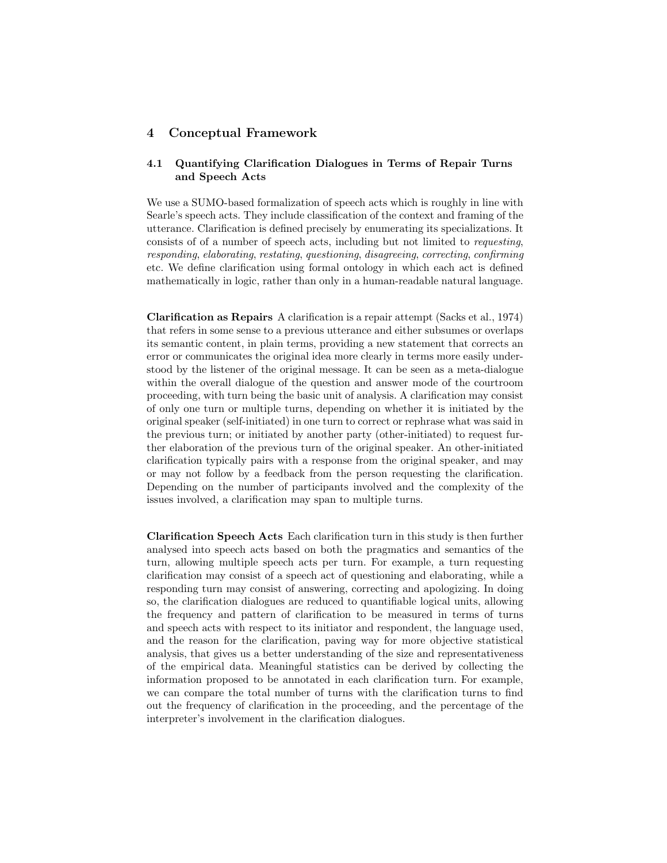#### 4 Conceptual Framework

### 4.1 Quantifying Clarification Dialogues in Terms of Repair Turns and Speech Acts

We use a SUMO-based formalization of speech acts which is roughly in line with Searle's speech acts. They include classification of the context and framing of the utterance. Clarification is defined precisely by enumerating its specializations. It consists of of a number of speech acts, including but not limited to requesting, responding, elaborating, restating, questioning, disagreeing, correcting, confirming etc. We define clarification using formal ontology in which each act is defined mathematically in logic, rather than only in a human-readable natural language.

Clarification as Repairs A clarification is a repair attempt (Sacks et al., 1974) that refers in some sense to a previous utterance and either subsumes or overlaps its semantic content, in plain terms, providing a new statement that corrects an error or communicates the original idea more clearly in terms more easily understood by the listener of the original message. It can be seen as a meta-dialogue within the overall dialogue of the question and answer mode of the courtroom proceeding, with turn being the basic unit of analysis. A clarification may consist of only one turn or multiple turns, depending on whether it is initiated by the original speaker (self-initiated) in one turn to correct or rephrase what was said in the previous turn; or initiated by another party (other-initiated) to request further elaboration of the previous turn of the original speaker. An other-initiated clarification typically pairs with a response from the original speaker, and may or may not follow by a feedback from the person requesting the clarification. Depending on the number of participants involved and the complexity of the issues involved, a clarification may span to multiple turns.

Clarification Speech Acts Each clarification turn in this study is then further analysed into speech acts based on both the pragmatics and semantics of the turn, allowing multiple speech acts per turn. For example, a turn requesting clarification may consist of a speech act of questioning and elaborating, while a responding turn may consist of answering, correcting and apologizing. In doing so, the clarification dialogues are reduced to quantifiable logical units, allowing the frequency and pattern of clarification to be measured in terms of turns and speech acts with respect to its initiator and respondent, the language used, and the reason for the clarification, paving way for more objective statistical analysis, that gives us a better understanding of the size and representativeness of the empirical data. Meaningful statistics can be derived by collecting the information proposed to be annotated in each clarification turn. For example, we can compare the total number of turns with the clarification turns to find out the frequency of clarification in the proceeding, and the percentage of the interpreter's involvement in the clarification dialogues.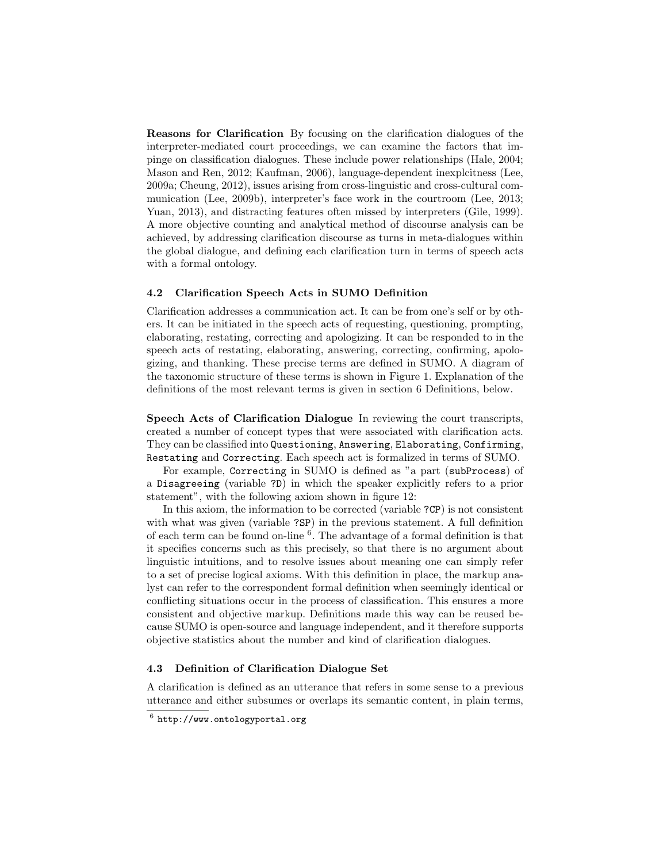Reasons for Clarification By focusing on the clarification dialogues of the interpreter-mediated court proceedings, we can examine the factors that impinge on classification dialogues. These include power relationships (Hale, 2004; Mason and Ren, 2012; Kaufman, 2006), language-dependent inexplcitness (Lee, 2009a; Cheung, 2012), issues arising from cross-linguistic and cross-cultural communication (Lee, 2009b), interpreter's face work in the courtroom (Lee, 2013; Yuan, 2013), and distracting features often missed by interpreters (Gile, 1999). A more objective counting and analytical method of discourse analysis can be achieved, by addressing clarification discourse as turns in meta-dialogues within the global dialogue, and defining each clarification turn in terms of speech acts with a formal ontology.

#### 4.2 Clarification Speech Acts in SUMO Definition

Clarification addresses a communication act. It can be from one's self or by others. It can be initiated in the speech acts of requesting, questioning, prompting, elaborating, restating, correcting and apologizing. It can be responded to in the speech acts of restating, elaborating, answering, correcting, confirming, apologizing, and thanking. These precise terms are defined in SUMO. A diagram of the taxonomic structure of these terms is shown in Figure 1. Explanation of the definitions of the most relevant terms is given in section 6 Definitions, below.

Speech Acts of Clarification Dialogue In reviewing the court transcripts, created a number of concept types that were associated with clarification acts. They can be classified into Questioning, Answering, Elaborating, Confirming, Restating and Correcting. Each speech act is formalized in terms of SUMO.

For example, Correcting in SUMO is defined as "a part (subProcess) of a Disagreeing (variable ?D) in which the speaker explicitly refers to a prior statement", with the following axiom shown in figure 12:

In this axiom, the information to be corrected (variable ?CP) is not consistent with what was given (variable ?SP) in the previous statement. A full definition of each term can be found on-line <sup>6</sup> . The advantage of a formal definition is that it specifies concerns such as this precisely, so that there is no argument about linguistic intuitions, and to resolve issues about meaning one can simply refer to a set of precise logical axioms. With this definition in place, the markup analyst can refer to the correspondent formal definition when seemingly identical or conflicting situations occur in the process of classification. This ensures a more consistent and objective markup. Definitions made this way can be reused because SUMO is open-source and language independent, and it therefore supports objective statistics about the number and kind of clarification dialogues.

#### 4.3 Definition of Clarification Dialogue Set

A clarification is defined as an utterance that refers in some sense to a previous utterance and either subsumes or overlaps its semantic content, in plain terms,

 $^6$  http://www.ontologyportal.org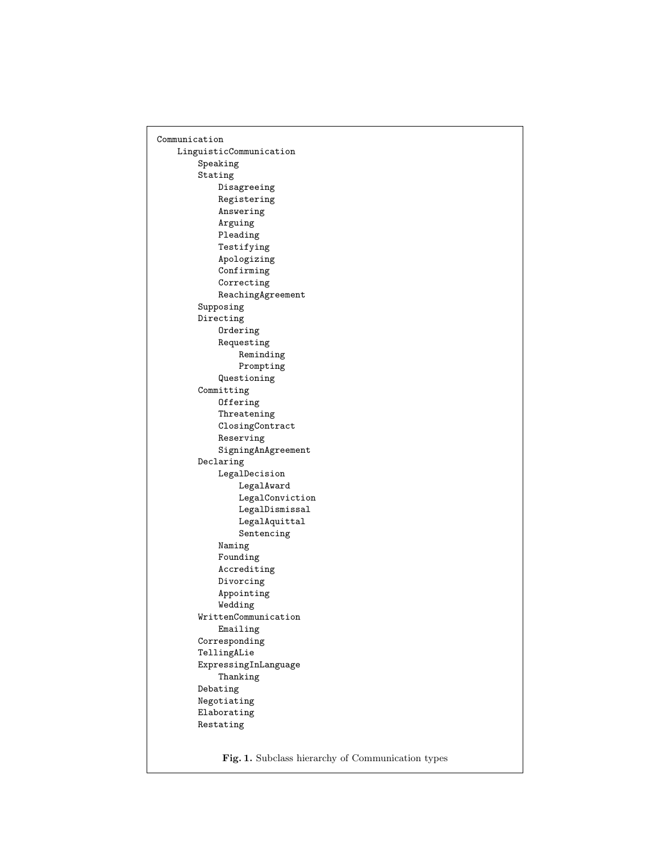Communication LinguisticCommunication Speaking Stating Disagreeing Registering Answering Arguing Pleading Testifying Apologizing Confirming Correcting ReachingAgreement Supposing Directing Ordering Requesting Reminding Prompting Questioning Committing **Offering** Threatening ClosingContract Reserving SigningAnAgreement Declaring LegalDecision LegalAward LegalConviction LegalDismissal LegalAquittal Sentencing Naming Founding Accrediting Divorcing Appointing Wedding WrittenCommunication Emailing Corresponding TellingALie ExpressingInLanguage Thanking Debating Negotiating Elaborating Restating

Fig. 1. Subclass hierarchy of Communication types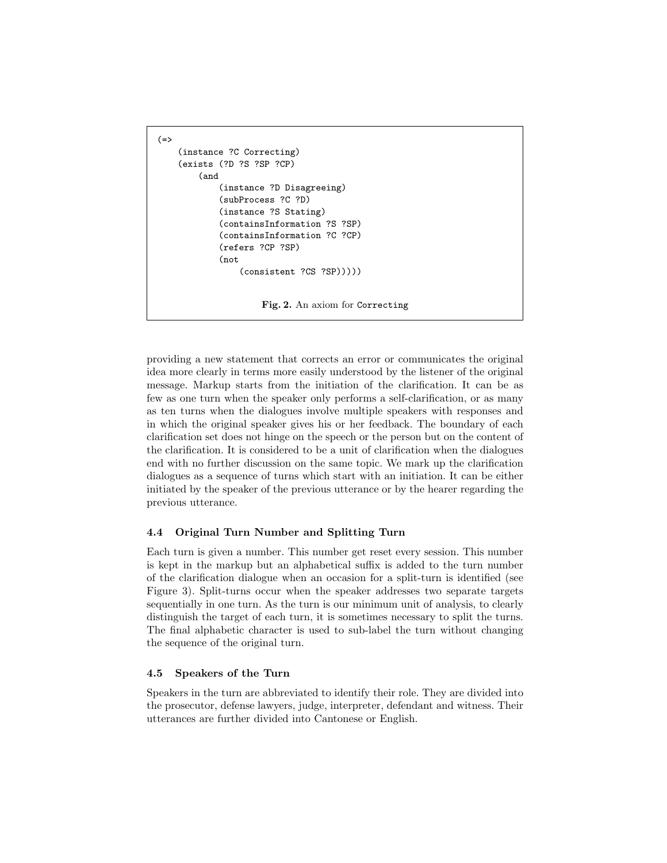```
(=>
    (instance ?C Correcting)
    (exists (?D ?S ?SP ?CP)
        (and
            (instance ?D Disagreeing)
            (subProcess ?C ?D)
            (instance ?S Stating)
            (containsInformation ?S ?SP)
            (containsInformation ?C ?CP)
            (refers ?CP ?SP)
            (not
                (consistent ?CS ?SP)))))
                     Fig. 2. An axiom for Correcting
```
providing a new statement that corrects an error or communicates the original idea more clearly in terms more easily understood by the listener of the original message. Markup starts from the initiation of the clarification. It can be as few as one turn when the speaker only performs a self-clarification, or as many as ten turns when the dialogues involve multiple speakers with responses and in which the original speaker gives his or her feedback. The boundary of each clarification set does not hinge on the speech or the person but on the content of the clarification. It is considered to be a unit of clarification when the dialogues end with no further discussion on the same topic. We mark up the clarification dialogues as a sequence of turns which start with an initiation. It can be either initiated by the speaker of the previous utterance or by the hearer regarding the previous utterance.

#### 4.4 Original Turn Number and Splitting Turn

Each turn is given a number. This number get reset every session. This number is kept in the markup but an alphabetical suffix is added to the turn number of the clarification dialogue when an occasion for a split-turn is identified (see Figure 3). Split-turns occur when the speaker addresses two separate targets sequentially in one turn. As the turn is our minimum unit of analysis, to clearly distinguish the target of each turn, it is sometimes necessary to split the turns. The final alphabetic character is used to sub-label the turn without changing the sequence of the original turn.

#### 4.5 Speakers of the Turn

Speakers in the turn are abbreviated to identify their role. They are divided into the prosecutor, defense lawyers, judge, interpreter, defendant and witness. Their utterances are further divided into Cantonese or English.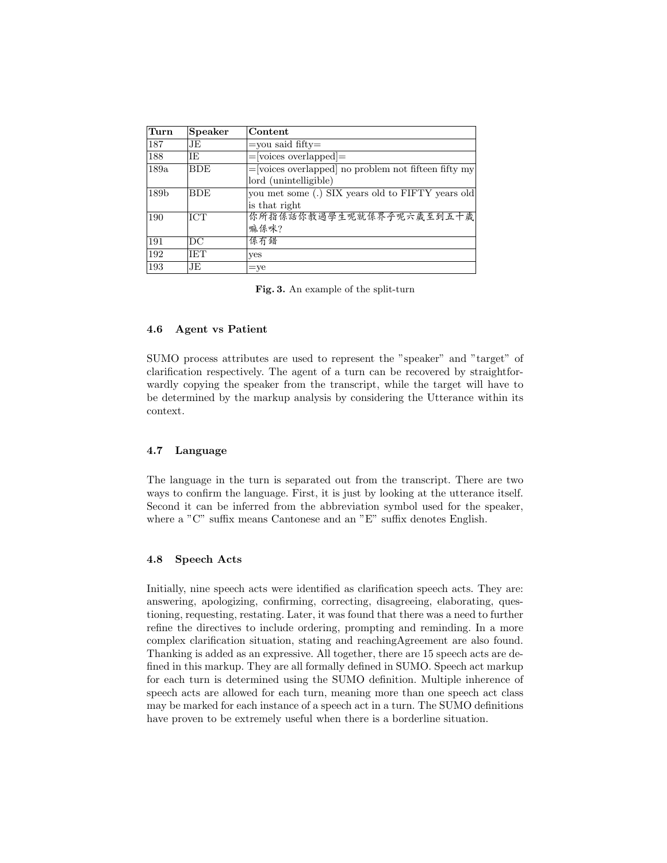| Turn             | Speaker    | Content                                                 |
|------------------|------------|---------------------------------------------------------|
| 187              | JE         | $=$ you said fifty $=$                                  |
| 188              | <b>IE</b>  | $=$ [voices overlapped] $=$                             |
| 189a             | <b>BDE</b> | $=$ [voices overlapped] no problem not fifteen fifty my |
|                  |            | lord (unintelligible)                                   |
| 189 <sub>b</sub> | <b>BDE</b> | you met some (.) SIX years old to FIFTY years old       |
|                  |            | is that right                                           |
| 190              | <b>ICT</b> | 你所指係話你教過學生呢就係界乎呢六歲至到五十歲                                 |
|                  |            | 嘛係咪?                                                    |
| 191              | DC         | 係冇錯                                                     |
| 192              | <b>IET</b> | <b>ves</b>                                              |
| 193              | JE         | $=$ ye                                                  |

Fig. 3. An example of the split-turn

#### 4.6 Agent vs Patient

SUMO process attributes are used to represent the "speaker" and "target" of clarification respectively. The agent of a turn can be recovered by straightforwardly copying the speaker from the transcript, while the target will have to be determined by the markup analysis by considering the Utterance within its context.

#### 4.7 Language

The language in the turn is separated out from the transcript. There are two ways to confirm the language. First, it is just by looking at the utterance itself. Second it can be inferred from the abbreviation symbol used for the speaker, where a "C" suffix means Cantonese and an "E" suffix denotes English.

#### 4.8 Speech Acts

Initially, nine speech acts were identified as clarification speech acts. They are: answering, apologizing, confirming, correcting, disagreeing, elaborating, questioning, requesting, restating. Later, it was found that there was a need to further refine the directives to include ordering, prompting and reminding. In a more complex clarification situation, stating and reachingAgreement are also found. Thanking is added as an expressive. All together, there are 15 speech acts are defined in this markup. They are all formally defined in SUMO. Speech act markup for each turn is determined using the SUMO definition. Multiple inherence of speech acts are allowed for each turn, meaning more than one speech act class may be marked for each instance of a speech act in a turn. The SUMO definitions have proven to be extremely useful when there is a borderline situation.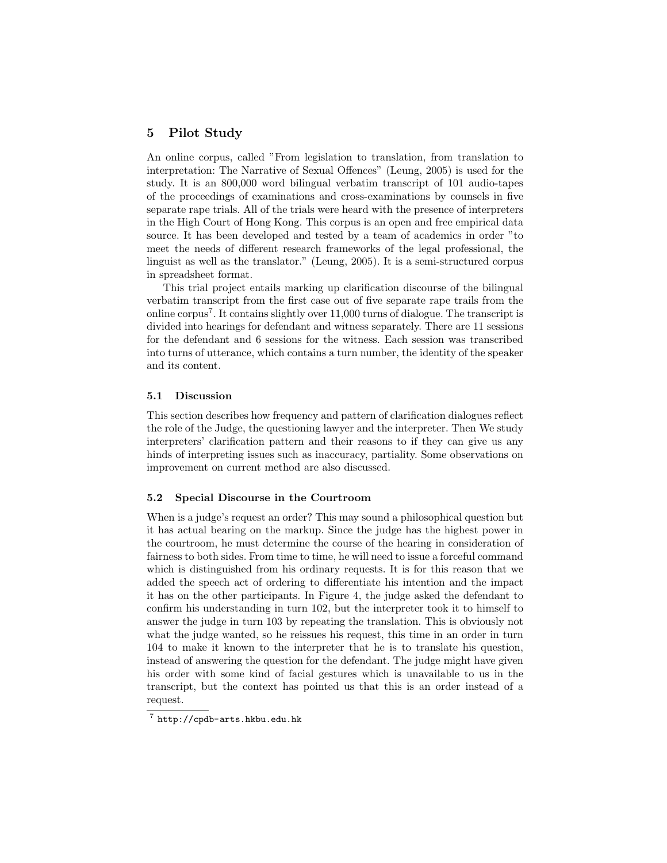### 5 Pilot Study

An online corpus, called "From legislation to translation, from translation to interpretation: The Narrative of Sexual Offences" (Leung, 2005) is used for the study. It is an 800,000 word bilingual verbatim transcript of 101 audio-tapes of the proceedings of examinations and cross-examinations by counsels in five separate rape trials. All of the trials were heard with the presence of interpreters in the High Court of Hong Kong. This corpus is an open and free empirical data source. It has been developed and tested by a team of academics in order "to meet the needs of different research frameworks of the legal professional, the linguist as well as the translator." (Leung, 2005). It is a semi-structured corpus in spreadsheet format.

This trial project entails marking up clarification discourse of the bilingual verbatim transcript from the first case out of five separate rape trails from the online corpus<sup>7</sup> . It contains slightly over 11,000 turns of dialogue. The transcript is divided into hearings for defendant and witness separately. There are 11 sessions for the defendant and 6 sessions for the witness. Each session was transcribed into turns of utterance, which contains a turn number, the identity of the speaker and its content.

#### 5.1 Discussion

This section describes how frequency and pattern of clarification dialogues reflect the role of the Judge, the questioning lawyer and the interpreter. Then We study interpreters' clarification pattern and their reasons to if they can give us any hinds of interpreting issues such as inaccuracy, partiality. Some observations on improvement on current method are also discussed.

#### 5.2 Special Discourse in the Courtroom

When is a judge's request an order? This may sound a philosophical question but it has actual bearing on the markup. Since the judge has the highest power in the courtroom, he must determine the course of the hearing in consideration of fairness to both sides. From time to time, he will need to issue a forceful command which is distinguished from his ordinary requests. It is for this reason that we added the speech act of ordering to differentiate his intention and the impact it has on the other participants. In Figure 4, the judge asked the defendant to confirm his understanding in turn 102, but the interpreter took it to himself to answer the judge in turn 103 by repeating the translation. This is obviously not what the judge wanted, so he reissues his request, this time in an order in turn 104 to make it known to the interpreter that he is to translate his question, instead of answering the question for the defendant. The judge might have given his order with some kind of facial gestures which is unavailable to us in the transcript, but the context has pointed us that this is an order instead of a request.

 $\frac{7}{7}$  http://cpdb-arts.hkbu.edu.hk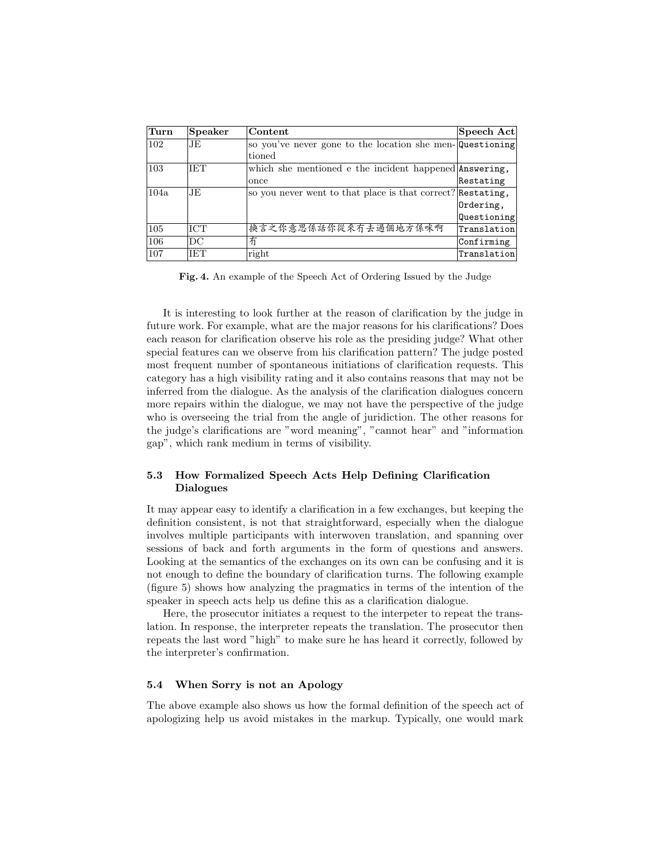| Turn | <b>Speaker</b> | Content                                                     | Speech Act  |
|------|----------------|-------------------------------------------------------------|-------------|
| 102  | JE             | so you've never gone to the location she men-Questioning    |             |
|      |                | tioned                                                      |             |
| 103  | <b>IET</b>     | which she mentioned e the incident happened Answering,      |             |
|      |                | once                                                        | Restating   |
| 104a | JE             | so you never went to that place is that correct? Restating, |             |
|      |                |                                                             | Ordering,   |
|      |                |                                                             | Questioning |
| 105  | <b>ICT</b>     | 换言之你意思係話你從來冇去過個地方係咪啊                                        | Translation |
| 106  | DC             | 冇                                                           | Confirming  |
| 107  | <b>IET</b>     | right                                                       | Translation |

Fig. 4. An example of the Speech Act of Ordering Issued by the Judge

It is interesting to look further at the reason of clarification by the judge in future work. For example, what are the major reasons for his clarifications? Does each reason for clarification observe his role as the presiding judge? What other special features can we observe from his clarification pattern? The judge posted most frequent number of spontaneous initiations of clarification requests. This category has a high visibility rating and it also contains reasons that may not be inferred from the dialogue. As the analysis of the clarification dialogues concern more repairs within the dialogue, we may not have the perspective of the judge who is overseeing the trial from the angle of juridiction. The other reasons for the judge's clarifications are "word meaning", "cannot hear" and "information gap", which rank medium in terms of visibility.

### 5.3 How Formalized Speech Acts Help Defining Clarification Dialogues

It may appear easy to identify a clarification in a few exchanges, but keeping the definition consistent, is not that straightforward, especially when the dialogue involves multiple participants with interwoven translation, and spanning over sessions of back and forth arguments in the form of questions and answers. Looking at the semantics of the exchanges on its own can be confusing and it is not enough to define the boundary of clarification turns. The following example (figure 5) shows how analyzing the pragmatics in terms of the intention of the speaker in speech acts help us define this as a clarification dialogue.

Here, the prosecutor initiates a request to the interpeter to repeat the translation. In response, the interpreter repeats the translation. The prosecutor then repeats the last word "high" to make sure he has heard it correctly, followed by the interpreter's confirmation.

#### 5.4 When Sorry is not an Apology

The above example also shows us how the formal definition of the speech act of apologizing help us avoid mistakes in the markup. Typically, one would mark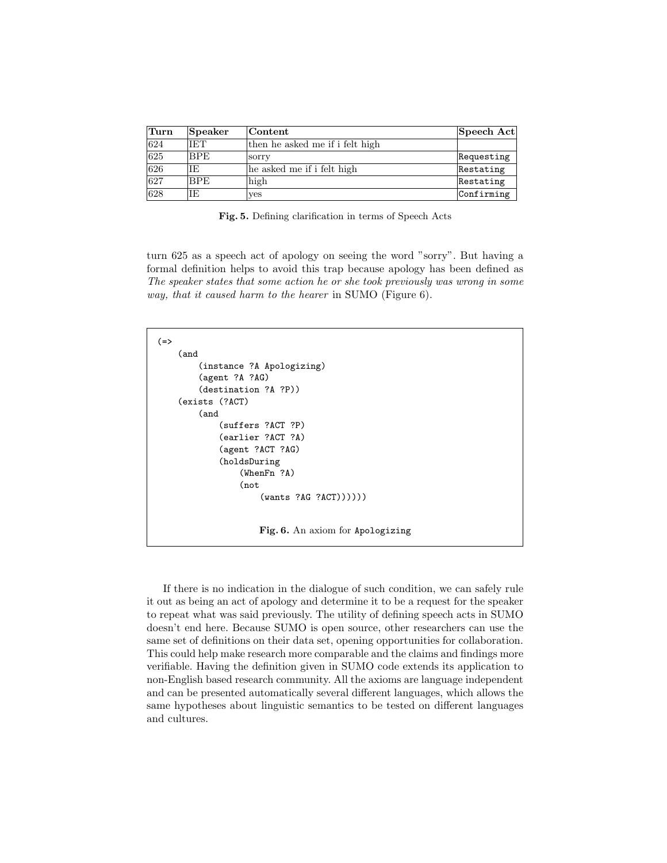| Turn         | Speaker    | $ {\rm Content} \$              | Speech Act |
|--------------|------------|---------------------------------|------------|
| 624          | <b>IET</b> | then he asked me if i felt high |            |
| 625          | <b>BPE</b> | sorry                           | Requesting |
| $\sqrt{626}$ | ΙE         | he asked me if i felt high      | Restating  |
| 627          | <b>BPE</b> | high                            | Restating  |
| 628          | IE.        | yes                             | Confirming |

Fig. 5. Defining clarification in terms of Speech Acts

turn 625 as a speech act of apology on seeing the word "sorry". But having a formal definition helps to avoid this trap because apology has been defined as The speaker states that some action he or she took previously was wrong in some way, that it caused harm to the hearer in SUMO (Figure 6).

```
(=>
    (and
        (instance ?A Apologizing)
        (agent ?A ?AG)
        (destination ?A ?P))
    (exists (?ACT)
        (and
            (suffers ?ACT ?P)
            (earlier ?ACT ?A)
            (agent ?ACT ?AG)
            (holdsDuring
                 (WhenFn ?A)
                 (not
                     (wants ?AG ?ACT))))))
                    Fig. 6. An axiom for Apologizing
```
If there is no indication in the dialogue of such condition, we can safely rule it out as being an act of apology and determine it to be a request for the speaker to repeat what was said previously. The utility of defining speech acts in SUMO doesn't end here. Because SUMO is open source, other researchers can use the same set of definitions on their data set, opening opportunities for collaboration. This could help make research more comparable and the claims and findings more verifiable. Having the definition given in SUMO code extends its application to non-English based research community. All the axioms are language independent and can be presented automatically several different languages, which allows the same hypotheses about linguistic semantics to be tested on different languages and cultures.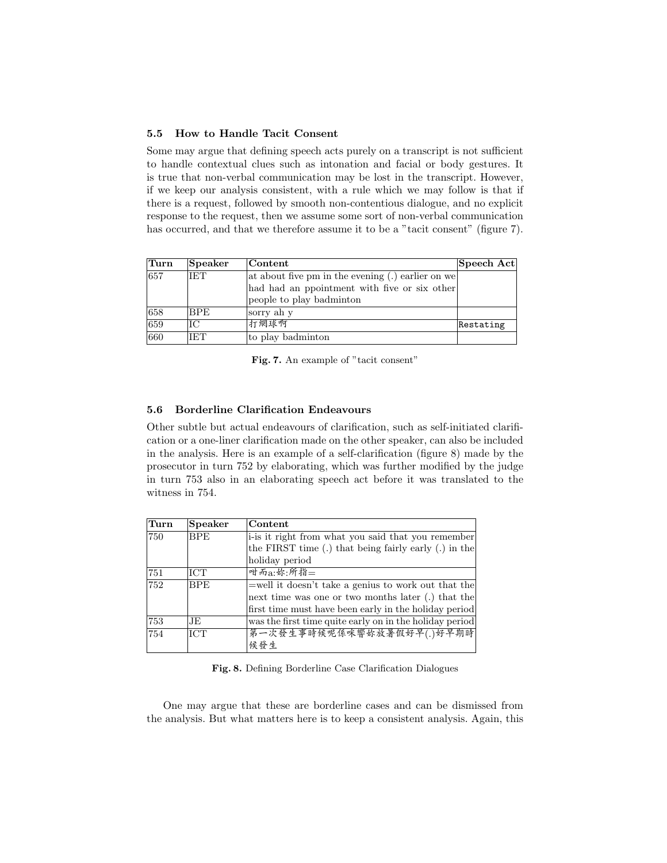#### 5.5 How to Handle Tacit Consent

Some may argue that defining speech acts purely on a transcript is not sufficient to handle contextual clues such as intonation and facial or body gestures. It is true that non-verbal communication may be lost in the transcript. However, if we keep our analysis consistent, with a rule which we may follow is that if there is a request, followed by smooth non-contentious dialogue, and no explicit response to the request, then we assume some sort of non-verbal communication has occurred, and that we therefore assume it to be a "tacit consent" (figure 7).

| Turn | <b>Speaker</b> | Content                                             | Speech Act |
|------|----------------|-----------------------------------------------------|------------|
| 657  | IET            | at about five pm in the evening $(.)$ earlier on we |            |
|      |                | had had an ppointment with five or six other        |            |
|      |                | people to play badminton                            |            |
| 658  | <b>BPE</b>     | sorry ah y                                          |            |
| 659  | IС             | 打網球啊                                                | Restating  |
| 660  | IET            | to play badminton                                   |            |

Fig. 7. An example of "tacit consent"

### 5.6 Borderline Clarification Endeavours

Other subtle but actual endeavours of clarification, such as self-initiated clarification or a one-liner clarification made on the other speaker, can also be included in the analysis. Here is an example of a self-clarification (figure 8) made by the prosecutor in turn 752 by elaborating, which was further modified by the judge in turn 753 also in an elaborating speech act before it was translated to the witness in 754.

| Turn | <b>Speaker</b> | Content                                                 |  |
|------|----------------|---------------------------------------------------------|--|
| 750  | <b>BPE</b>     | i-is it right from what you said that you remember      |  |
|      |                | the FIRST time (.) that being fairly early (.) in the   |  |
|      |                | holiday period                                          |  |
| 751  | <b>ICT</b>     | 咁而a:妳:所指=                                               |  |
| 752  | <b>BPE</b>     | $=$ well it doesn't take a genius to work out that the  |  |
|      |                | next time was one or two months later (.) that the      |  |
|      |                | first time must have been early in the holiday period   |  |
| 753  | JE             | was the first time quite early on in the holiday period |  |
| 754  | <b>ICT</b>     | 第一次發生事時候呢係咪響妳放暑假好早(.)好早期時                               |  |
|      |                | 候發生                                                     |  |

Fig. 8. Defining Borderline Case Clarification Dialogues

One may argue that these are borderline cases and can be dismissed from the analysis. But what matters here is to keep a consistent analysis. Again, this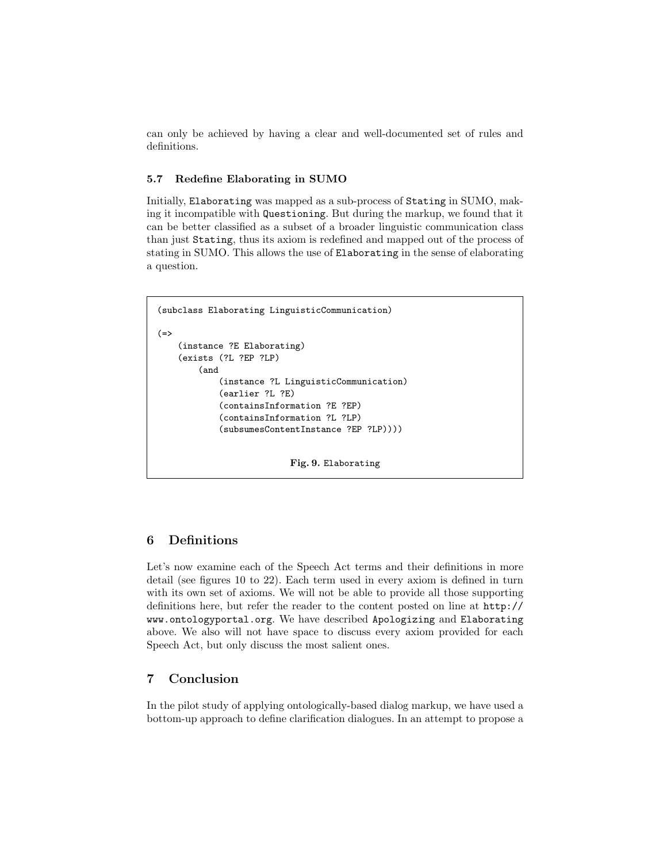can only be achieved by having a clear and well-documented set of rules and definitions.

### 5.7 Redefine Elaborating in SUMO

Initially, Elaborating was mapped as a sub-process of Stating in SUMO, making it incompatible with Questioning. But during the markup, we found that it can be better classified as a subset of a broader linguistic communication class than just Stating, thus its axiom is redefined and mapped out of the process of stating in SUMO. This allows the use of Elaborating in the sense of elaborating a question.

```
(subclass Elaborating LinguisticCommunication)
(=)(instance ?E Elaborating)
   (exists (?L ?EP ?LP)
        (and
            (instance ?L LinguisticCommunication)
            (earlier ?L ?E)
            (containsInformation ?E ?EP)
            (containsInformation ?L ?LP)
            (subsumesContentInstance ?EP ?LP))))
                          Fig. 9. Elaborating
```
### 6 Definitions

Let's now examine each of the Speech Act terms and their definitions in more detail (see figures 10 to 22). Each term used in every axiom is defined in turn with its own set of axioms. We will not be able to provide all those supporting definitions here, but refer the reader to the content posted on line at http:// www.ontologyportal.org. We have described Apologizing and Elaborating above. We also will not have space to discuss every axiom provided for each Speech Act, but only discuss the most salient ones.

### 7 Conclusion

In the pilot study of applying ontologically-based dialog markup, we have used a bottom-up approach to define clarification dialogues. In an attempt to propose a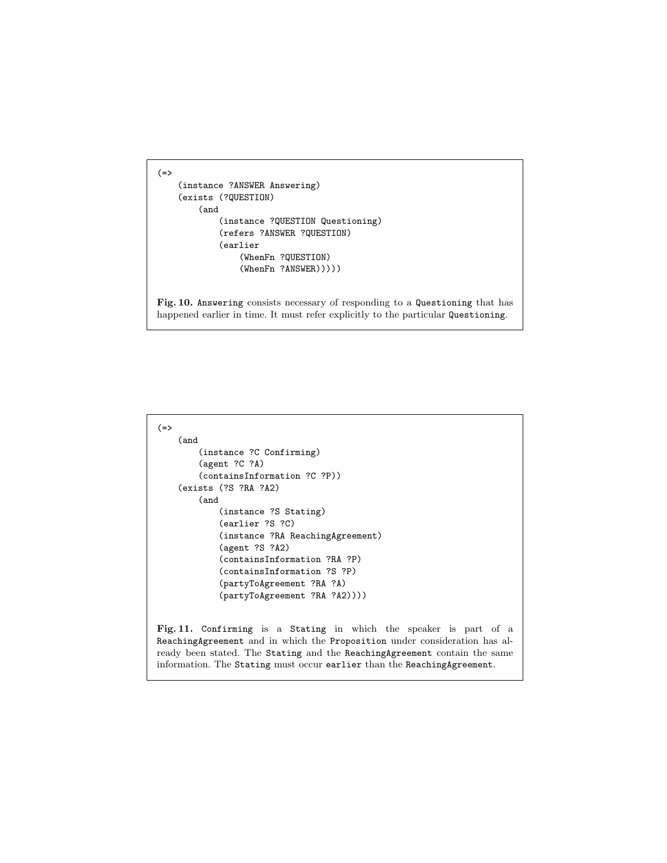```
(=)(instance ?ANSWER Answering)
    (exists (?QUESTION)
        (and
            (instance ?QUESTION Questioning)
            (refers ?ANSWER ?QUESTION)
            (earlier
                (WhenFn ?QUESTION)
                (WhenFn ?ANSWER)))))
```
Fig. 10. Answering consists necessary of responding to a Questioning that has happened earlier in time. It must refer explicitly to the particular Questioning.

```
(=>
   (and
        (instance ?C Confirming)
        (agent ?C ?A)
        (containsInformation ?C ?P))
    (exists (?S ?RA ?A2)
        (and
            (instance ?S Stating)
            (earlier ?S ?C)
            (instance ?RA ReachingAgreement)
            (agent ?S ?A2)
            (containsInformation ?RA ?P)
            (containsInformation ?S ?P)
            (partyToAgreement ?RA ?A)
            (partyToAgreement ?RA ?A2))))
```
Fig. 11. Confirming is a Stating in which the speaker is part of a ReachingAgreement and in which the Proposition under consideration has already been stated. The Stating and the ReachingAgreement contain the same information. The Stating must occur earlier than the ReachingAgreement.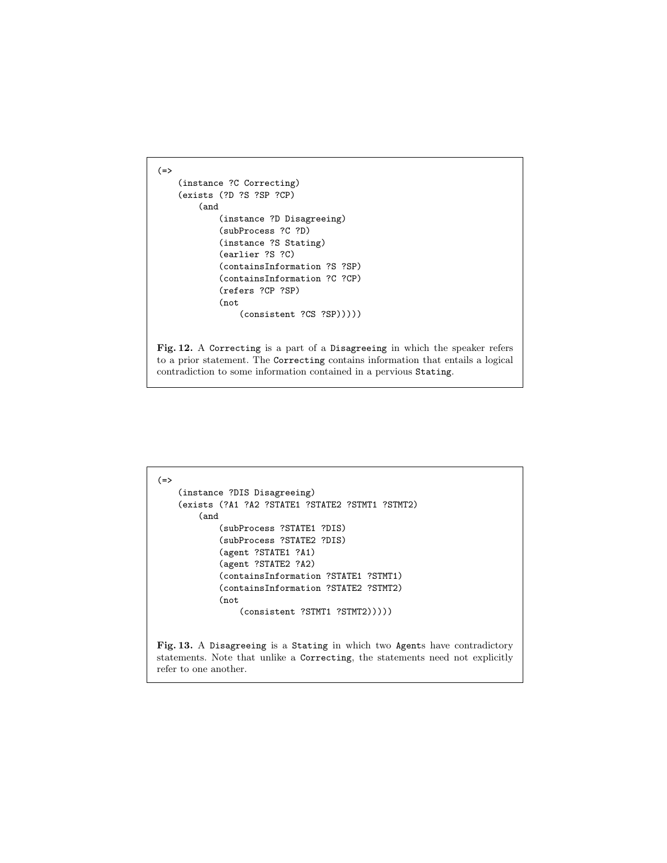```
(=)(instance ?C Correcting)
    (exists (?D ?S ?SP ?CP)
        (and
            (instance ?D Disagreeing)
            (subProcess ?C ?D)
            (instance ?S Stating)
            (earlier ?S ?C)
            (containsInformation ?S ?SP)
            (containsInformation ?C ?CP)
            (refers ?CP ?SP)
            (not
                (consistent ?CS ?SP)))))
```
Fig. 12. A Correcting is a part of a Disagreeing in which the speaker refers to a prior statement. The Correcting contains information that entails a logical contradiction to some information contained in a pervious Stating.

```
(=>
    (instance ?DIS Disagreeing)
    (exists (?A1 ?A2 ?STATE1 ?STATE2 ?STMT1 ?STMT2)
        (and
            (subProcess ?STATE1 ?DIS)
             (subProcess ?STATE2 ?DIS)
             (agent ?STATE1 ?A1)
             (agent ?STATE2 ?A2)
             (containsInformation ?STATE1 ?STMT1)
             (containsInformation ?STATE2 ?STMT2)
            (not
                 (consistent ?STMT1 ?STMT2)))))
Fig. 13. A Disagreeing is a Stating in which two Agents have contradictory
statements. Note that unlike a Correcting, the statements need not explicitly
refer to one another.
```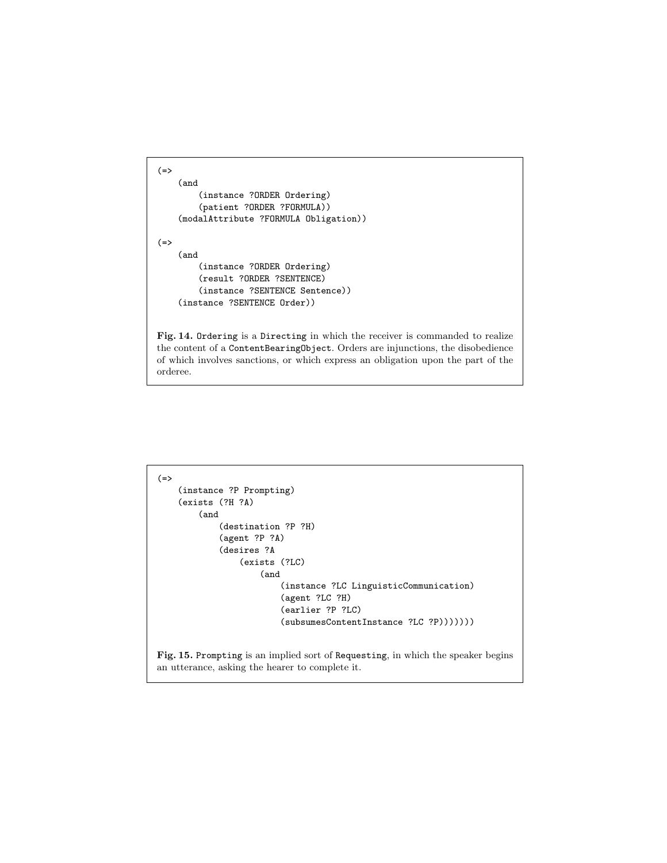```
(=)(and
        (instance ?ORDER Ordering)
        (patient ?ORDER ?FORMULA))
    (modalAttribute ?FORMULA Obligation))
(=>
    (and
        (instance ?ORDER Ordering)
        (result ?ORDER ?SENTENCE)
        (instance ?SENTENCE Sentence))
    (instance ?SENTENCE Order))
```
Fig. 14. Ordering is a Directing in which the receiver is commanded to realize the content of a ContentBearingObject. Orders are injunctions, the disobedience of which involves sanctions, or which express an obligation upon the part of the orderee.

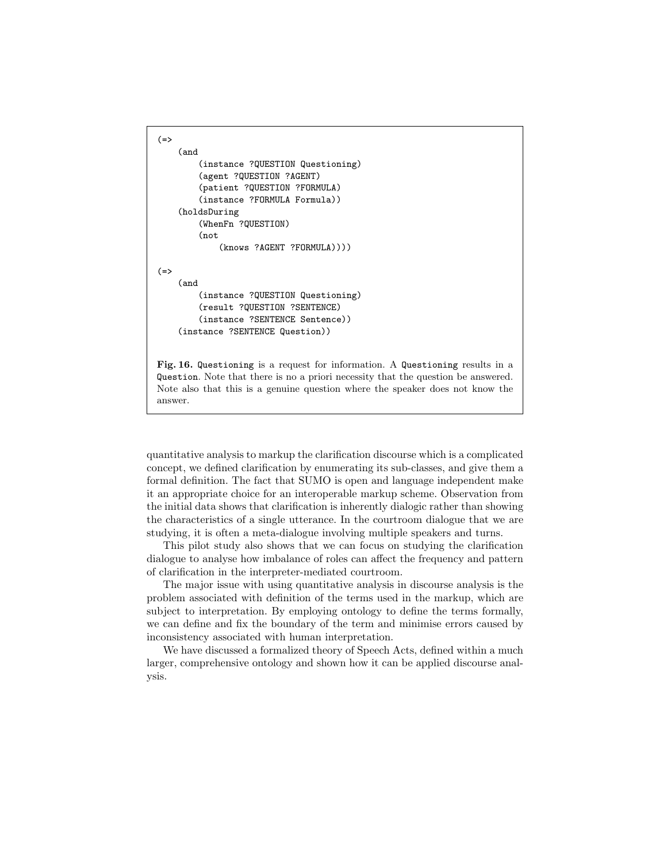```
(=)(and
        (instance ?QUESTION Questioning)
        (agent ?QUESTION ?AGENT)
        (patient ?QUESTION ?FORMULA)
        (instance ?FORMULA Formula))
    (holdsDuring
        (WhenFn ?QUESTION)
        (not
            (knows ?AGENT ?FORMULA))))
(=)(and
        (instance ?QUESTION Questioning)
        (result ?QUESTION ?SENTENCE)
        (instance ?SENTENCE Sentence))
    (instance ?SENTENCE Question))
```
Fig. 16. Questioning is a request for information. A Questioning results in a Question. Note that there is no a priori necessity that the question be answered. Note also that this is a genuine question where the speaker does not know the answer.

quantitative analysis to markup the clarification discourse which is a complicated concept, we defined clarification by enumerating its sub-classes, and give them a formal definition. The fact that SUMO is open and language independent make it an appropriate choice for an interoperable markup scheme. Observation from the initial data shows that clarification is inherently dialogic rather than showing the characteristics of a single utterance. In the courtroom dialogue that we are studying, it is often a meta-dialogue involving multiple speakers and turns.

This pilot study also shows that we can focus on studying the clarification dialogue to analyse how imbalance of roles can affect the frequency and pattern of clarification in the interpreter-mediated courtroom.

The major issue with using quantitative analysis in discourse analysis is the problem associated with definition of the terms used in the markup, which are subject to interpretation. By employing ontology to define the terms formally, we can define and fix the boundary of the term and minimise errors caused by inconsistency associated with human interpretation.

We have discussed a formalized theory of Speech Acts, defined within a much larger, comprehensive ontology and shown how it can be applied discourse analysis.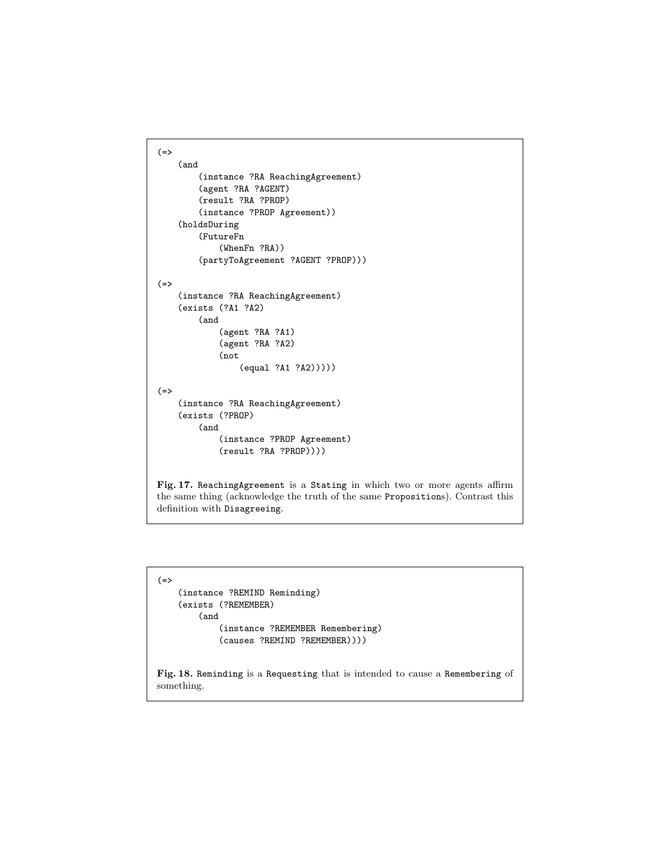```
(=>
    (and
        (instance ?RA ReachingAgreement)
        (agent ?RA ?AGENT)
        (result ?RA ?PROP)
        (instance ?PROP Agreement))
    (holdsDuring
        (FutureFn
             (WhenFn ?RA))
        (partyToAgreement ?AGENT ?PROP)))
(=>
    (instance ?RA ReachingAgreement)
    (exists (?A1 ?A2)
        (and
             (agent ?RA ?A1)
            (agent ?RA ?A2)
            (not
                 (equal ?A1 ?A2)))))
(=>
    (instance ?RA ReachingAgreement)
    (exists (?PROP)
        (and
            (instance ?PROP Agreement)
            (result ?RA ?PROP))))
Fig. 17. ReachingAgreement is a Stating in which two or more agents affirm
the same thing (acknowledge the truth of the same Propositions). Contrast this
definition with Disagreeing.
```

```
(=>
    (instance ?REMIND Reminding)
    (exists (?REMEMBER)
        (and
             (instance ?REMEMBER Remembering)
             (causes ?REMIND ?REMEMBER))))
Fig. 18. Reminding is a Requesting that is intended to cause a Remembering of
something.
```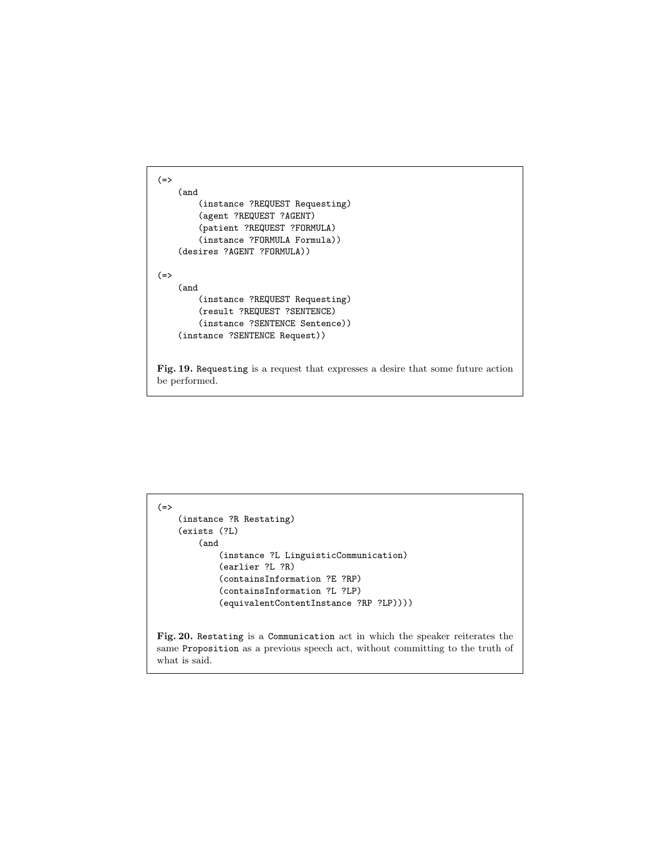```
(=>
    (and
        (instance ?REQUEST Requesting)
        (agent ?REQUEST ?AGENT)
        (patient ?REQUEST ?FORMULA)
        (instance ?FORMULA Formula))
    (desires ?AGENT ?FORMULA))
(=>
    (and
        (instance ?REQUEST Requesting)
        (result ?REQUEST ?SENTENCE)
        (instance ?SENTENCE Sentence))
    (instance ?SENTENCE Request))
```
Fig. 19. Requesting is a request that expresses a desire that some future action be performed.

```
(=>
    (instance ?R Restating)
    (exists (?L)
        (and
            (instance ?L LinguisticCommunication)
             (earlier ?L ?R)
             (containsInformation ?E ?RP)
             (containsInformation ?L ?LP)
             (equivalentContentInstance ?RP ?LP))))
Fig. 20. Restating is a Communication act in which the speaker reiterates the
same Proposition as a previous speech act, without committing to the truth of
what is said.
```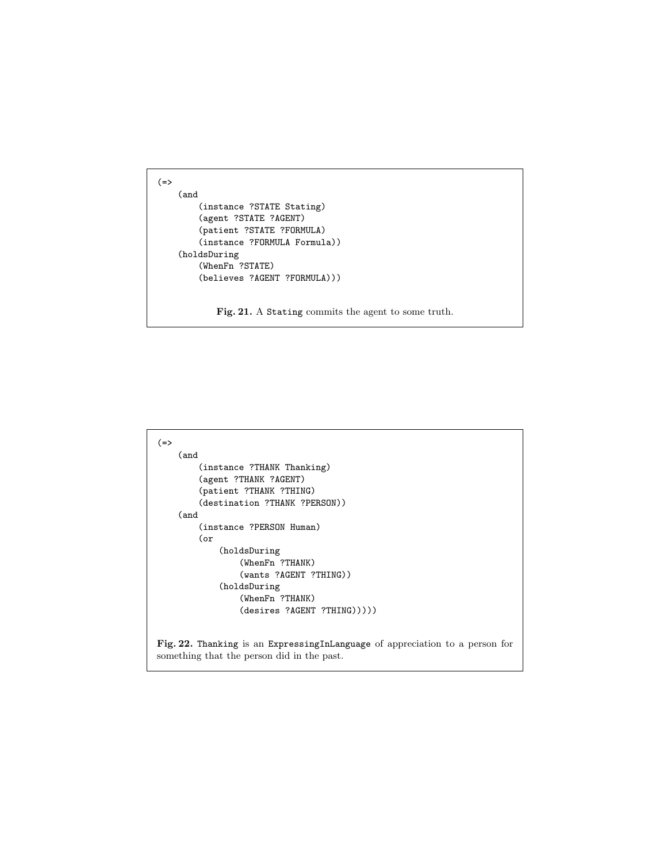```
(=)(and
        (instance ?STATE Stating)
        (agent ?STATE ?AGENT)
        (patient ?STATE ?FORMULA)
        (instance ?FORMULA Formula))
    (holdsDuring
        (WhenFn ?STATE)
        (believes ?AGENT ?FORMULA)))
```
Fig. 21. A Stating commits the agent to some truth.

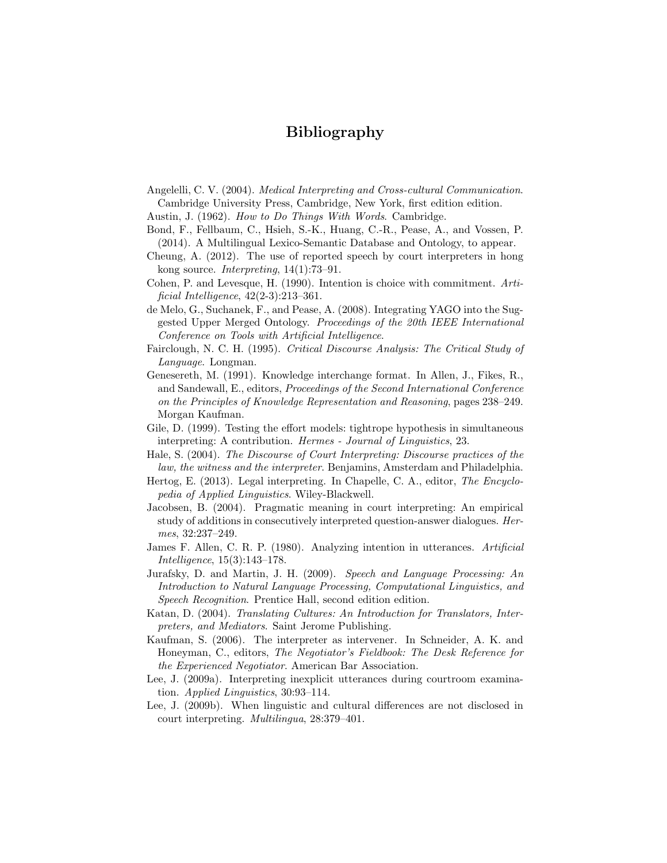## Bibliography

- Angelelli, C. V. (2004). Medical Interpreting and Cross-cultural Communication. Cambridge University Press, Cambridge, New York, first edition edition.
- Austin, J. (1962). How to Do Things With Words. Cambridge.
- Bond, F., Fellbaum, C., Hsieh, S.-K., Huang, C.-R., Pease, A., and Vossen, P. (2014). A Multilingual Lexico-Semantic Database and Ontology, to appear.
- Cheung, A. (2012). The use of reported speech by court interpreters in hong kong source. Interpreting, 14(1):73–91.
- Cohen, P. and Levesque, H. (1990). Intention is choice with commitment. Artificial Intelligence, 42(2-3):213–361.
- de Melo, G., Suchanek, F., and Pease, A. (2008). Integrating YAGO into the Suggested Upper Merged Ontology. Proceedings of the 20th IEEE International Conference on Tools with Artificial Intelligence.
- Fairclough, N. C. H. (1995). Critical Discourse Analysis: The Critical Study of Language. Longman.
- Genesereth, M. (1991). Knowledge interchange format. In Allen, J., Fikes, R., and Sandewall, E., editors, Proceedings of the Second International Conference on the Principles of Knowledge Representation and Reasoning, pages 238–249. Morgan Kaufman.
- Gile, D. (1999). Testing the effort models: tightrope hypothesis in simultaneous interpreting: A contribution. Hermes - Journal of Linguistics, 23.
- Hale, S. (2004). The Discourse of Court Interpreting: Discourse practices of the law, the witness and the interpreter. Benjamins, Amsterdam and Philadelphia.
- Hertog, E. (2013). Legal interpreting. In Chapelle, C. A., editor, The Encyclopedia of Applied Linguistics. Wiley-Blackwell.
- Jacobsen, B. (2004). Pragmatic meaning in court interpreting: An empirical study of additions in consecutively interpreted question-answer dialogues. Hermes, 32:237–249.
- James F. Allen, C. R. P. (1980). Analyzing intention in utterances. Artificial Intelligence, 15(3):143–178.
- Jurafsky, D. and Martin, J. H. (2009). Speech and Language Processing: An Introduction to Natural Language Processing, Computational Linguistics, and Speech Recognition. Prentice Hall, second edition edition.
- Katan, D. (2004). Translating Cultures: An Introduction for Translators, Interpreters, and Mediators. Saint Jerome Publishing.
- Kaufman, S. (2006). The interpreter as intervener. In Schneider, A. K. and Honeyman, C., editors, The Negotiator's Fieldbook: The Desk Reference for the Experienced Negotiator. American Bar Association.
- Lee, J. (2009a). Interpreting inexplicit utterances during courtroom examination. Applied Linguistics, 30:93–114.
- Lee, J. (2009b). When linguistic and cultural differences are not disclosed in court interpreting. Multilingua, 28:379–401.